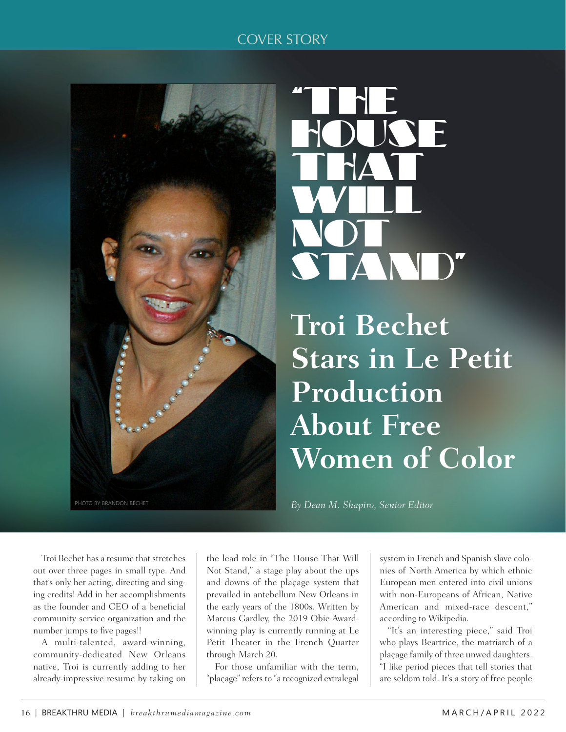## COVER STORY



## "THE KNE THAT. WILL. NOT STAND"

**Troi Bechet Stars in Le Petit Production About Free Women of Color**

*By Dean M. Shapiro, Senior Editor*

Troi Bechet has a resume that stretches out over three pages in small type. And that's only her acting, directing and singing credits! Add in her accomplishments as the founder and CEO of a beneficial community service organization and the number jumps to five pages!!

A multi-talented, award-winning, community-dedicated New Orleans native, Troi is currently adding to her already-impressive resume by taking on

the lead role in "The House That Will Not Stand," a stage play about the ups and downs of the plaçage system that prevailed in antebellum New Orleans in the early years of the 1800s. Written by Marcus Gardley, the 2019 Obie Awardwinning play is currently running at Le Petit Theater in the French Quarter through March 20.

For those unfamiliar with the term, "plaçage" refers to "a recognized extralegal

system in French and Spanish slave colonies of North America by which ethnic European men entered into civil unions with non-Europeans of African, Native American and mixed-race descent," according to Wikipedia.

"It's an interesting piece," said Troi who plays Beartrice, the matriarch of a plaçage family of three unwed daughters. "I like period pieces that tell stories that are seldom told. It's a story of free people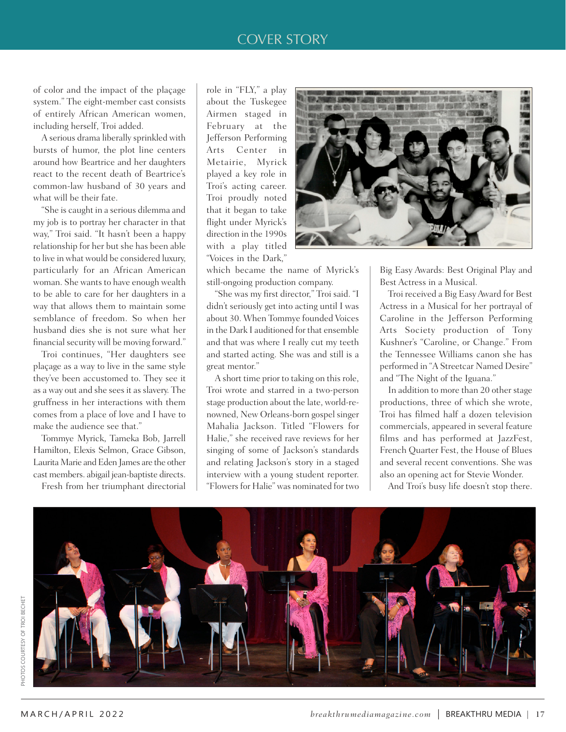## COVER STORY

of color and the impact of the plaçage system." The eight-member cast consists of entirely African American women, including herself, Troi added.

A serious drama liberally sprinkled with bursts of humor, the plot line centers around how Beartrice and her daughters react to the recent death of Beartrice's common-law husband of 30 years and what will be their fate.

"She is caught in a serious dilemma and my job is to portray her character in that way," Troi said. "It hasn't been a happy relationship for her but she has been able to live in what would be considered luxury, particularly for an African American woman. She wants to have enough wealth to be able to care for her daughters in a way that allows them to maintain some semblance of freedom. So when her husband dies she is not sure what her financial security will be moving forward."

Troi continues, "Her daughters see plaçage as a way to live in the same style they've been accustomed to. They see it as a way out and she sees it as slavery. The gruffness in her interactions with them comes from a place of love and I have to make the audience see that."

Tommye Myrick, Tameka Bob, Jarrell Hamilton, Elexis Selmon, Grace Gibson, Laurita Marie and Eden James are the other cast members. abigail jean-baptiste directs.

Fresh from her triumphant directorial

role in "FLY," a play about the Tuskegee Airmen staged in February at the Jefferson Performing Arts Center in Metairie, Myrick played a key role in Troi's acting career. Troi proudly noted that it began to take flight under Myrick's direction in the 1990s with a play titled "Voices in the Dark,"



which became the name of Myrick's still-ongoing production company.

"She was my first director," Troi said. "I didn't seriously get into acting until I was about 30. When Tommye founded Voices in the Dark I auditioned for that ensemble and that was where I really cut my teeth and started acting. She was and still is a great mentor."

A short time prior to taking on this role, Troi wrote and starred in a two-person stage production about the late, world-renowned, New Orleans-born gospel singer Mahalia Jackson. Titled "Flowers for Halie," she received rave reviews for her singing of some of Jackson's standards and relating Jackson's story in a staged interview with a young student reporter. "Flowers for Halie" was nominated for two

Big Easy Awards: Best Original Play and Best Actress in a Musical.

Troi received a Big Easy Award for Best Actress in a Musical for her portrayal of Caroline in the Jefferson Performing Arts Society production of Tony Kushner's "Caroline, or Change." From the Tennessee Williams canon she has performed in "A Streetcar Named Desire" and "The Night of the Iguana."

In addition to more than 20 other stage productions, three of which she wrote, Troi has filmed half a dozen television commercials, appeared in several feature films and has performed at JazzFest, French Quarter Fest, the House of Blues and several recent conventions. She was also an opening act for Stevie Wonder.

And Troi's busy life doesn't stop there.